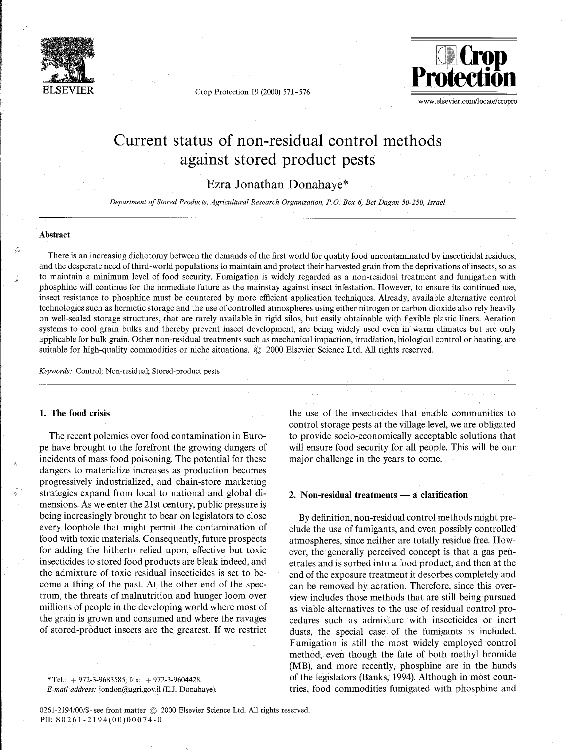

Crop Protection 19 (2000) 571-576



www.elsevier.com/locate/cropro

# Current status of non-residual control methods against stored product pests

Ezra Jonathan Donahaye\*

*Department of Stored Products, Agricultural Research Organzzatzon, P.0 Box 6, Bet Dagan 50-250, Israel* 

# **Abstract**

There is an increasing dichotomy between the demands of the first world for quality food uncontaminated by insecticidal residues, and the desperate need of third-world populations to maintain and protect their harvested grain from the deprivations of insects, so as to maintain a minimum level of food security. Fumigation is widely regarded as a non-residual treatment and fumigation with phosphine will continue for the immediate future as the mainstay against insect infestation. However, to ensure its continued use, insect resistance to phosphine must be countered by more efficient application techniques. Already, available alternative control technologies such as hermetic storage and the use of controlled atmospheres using either nitrogen or carbon dioxide also rely heavily on well-sealed storage structures, that are rarely available in rigid silos, but easily obtainable with flexible plastic liners. Aeration systems to cool grain bulks and thereby prevent insect development, are being widely used even in warm climates but are only applicable for bulk grain. Other non-residual treatments such as mechanical impaction, irradiation, biological control or heating, are suitable for high-quality commodities or niche situations.  $\circled{c}$  2000 Elsevier Science Ltd. All rights reserved.

*Keywords:* Control; Non-residual; Stored-product pests

# **1. The food crisis**

The recent polemics over food contamination in Europe have brought to the forefront the growing dangers of incidents of mass food poisoning. The potential for these dangers to materialize increases as production becomes progressively industrialized, and chain-store marketing **7** strategies expand from local to national and global dimensions. As we enter the 21st century, public pressure is being increasingly brought to bear on legislators to close every loophole that might permit the contamination of food with toxic materials. Consequently, future prospects for adding the hitherto relied upon, effective but toxic insecticides to stored food products are bleak indeed, and the admixture of toxic residual insecticides is set to become a thing of the past. At the other end of the spectrum, the threats of malnutrition and hunger loom over millions of people in the developing world where most of the grain is grown and consumed and where the ravages of stored-product insects are the greatest. If we restrict

\* Tel.: + 972-3-9683585; fax: + 972-3-9604428.

*E-mail address:* jondon@agri.gov.il *(E.J.* Donahaye)

the use of the insecticides that enable communities to control storage pests at the village level, we are obligated to provide socio-economically acceptable solutions that will ensure food security for all people. This will be our major challenge in the years to come.

# 2. Non-residual treatments — a clarification

By definition, non-residual control methods might preclude the use of fumigants, and even possibly controlled atmospheres, since neither are totally residue free. However, the generally perceived concept is that a gas penetrates and is sorbed into a food product, and then at the end of the exposure treatment it desorbes completely and can be removed by aeration. Therefore, since this overview includes those methods that are still being pursued as viable alternatives to the use of residual control procedures such as admixture with insecticides or inert dusts, the special case of the fumigants is included. Fumigation is still the most widely employed control method, even though the fate of both methyl bromide (MB), and more recently, phosphine are in the hands of the legislators (Banks, 1994). Although in most countries, food commodities fumigated with phosphine and

<sup>0261-2194/00/\$-</sup> see front matter © 2000 Elsevier Science Ltd. All rights reserved. PII: S0261-2194(00)00074-0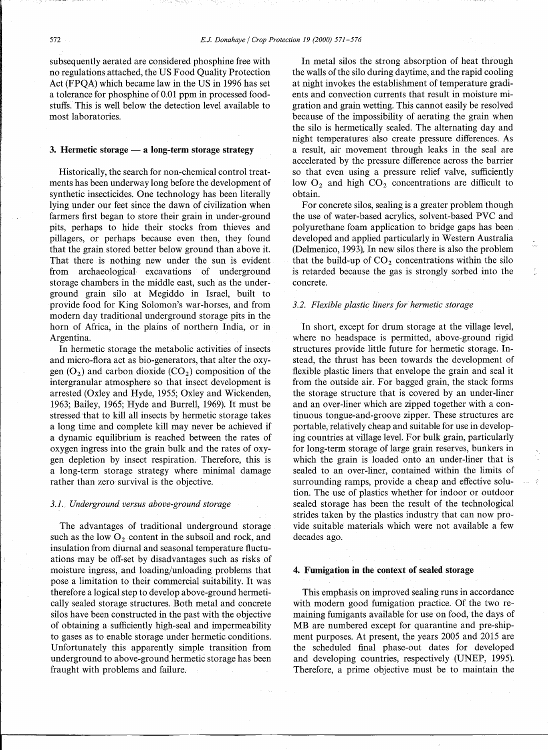subsequently aerated are considered phosphine free with no regulations attached, the US Food Quality Protection Act (FPQA) which became law in the US in 1996 has set a tolerance for phosphine of 0.01 ppm in processed foodstuffs. This is well below the detection level available to most laboratories.

### **3. Hermetic storage — a long-term storage strategy**

Historically, the search for non-chemical control treatments has been underway long before the development of synthetic insecticides. One technology has been literally lying under our feet since the dawn of civilization when farmers first began to store their grain in under-ground pits, perhaps to hide their stocks from thieves and pillagers, or perhaps because even then, they found that the grain stored better below ground than above it. That there is nothing new under the sun is evident from archaeological excavations of underground storage chambers in the middle east, such as the underground grain silo at Megiddo in Israel, built to provide food for King Solomon's war-horses, and from modern day traditional underground storage pits in the horn of Africa, in the plains of northern India, or in Argentina.

In hermetic storage the metabolic activities of insects and micro-flora act as bio-generators, that alter the oxygen  $(O_2)$  and carbon dioxide  $(CO_2)$  composition of the intergranular atmosphere so that insect development is arrested (Oxley and Hyde, 1955; Oxley and Wickenden, 1963; Bailey, 1965; Hyde and Burrell, 1969). It must be stressed that to kill all insects by hermetic storage takes a long time and complete kill may never be achieved if a dynamic equilibrium is reached between the rates of oxygen ingress into the grain bulk and the rates of oxygen depletion by insect respiration. Therefore, this is a long-term storage strategy where minimal damage rather than zero survival is the objective.

#### *3.1. Underground versus above-ground storage*

The advantages of traditional underground storage such as the low  $O_2$  content in the subsoil and rock, and insulation from diurnal and seasonal temperature fluctuations may be off-set by disadvantages such as risks of moisture ingress, and loading/unloading problems that pose a limitation to their commercial suitability. It was therefore a logical step to develop above-ground hermetically sealed storage structures. Both metal and concrete silos have been constructed in the past with the objective of obtaining a sufficiently high-seal and impermeability to gases as to enable storage under hermetic conditions. Unfortunately this apparently simple transition from underground to above-ground hermetic storage has been fraught with problems and failure.

In metal silos the strong absorption of heat through the walls of the silo during daytime, and the rapid cooling at night invokes the establishment of temperature gradients and convection currents that result in moisture migration and grain wetting. This cannot easily be resolved because of the impossibility of aerating the grain when the silo is hermetically sealed. The alternating day and night temperatures also create pressure differences. As a result, air movement through leaks in the seal are accelerated by the pressure difference across the barrier so that even using a pressure relief valve, sufficiently low  $O_2$  and high  $CO_2$  concentrations are difficult to obtain.

For concrete silos, sealing is a greater problem though the use of water-based acrylics, solvent-based PVC and polyurethane foam application to bridge gaps has been developed and applied particularly in Western Australia (Delmenico, 1993). In new silos there is also the problem that the build-up of  $CO<sub>2</sub>$  concentrations within the silo is retarded because the gas is strongly sorbed into the concrete.

## *3.2. Flexible plastic liners for hermetic storage*

In short, except for drum storage at the village level, where no headspace is permitted, above-ground rigid structures provide little future for hermetic storage. Instead, the thrust has been towards the development of flexible plastic liners that envelope the grain and seal it from the outside air. For bagged grain, the stack forms the storage structure that is covered by an under-liner and an over-liner which are zipped together with a continuous tongue-and-groove zipper. These structures are portable, relatively cheap and suitable for use in developing countries at village level. For bulk grain, particularly for long-term storage of large grain reserves, bunkers in which the grain is loaded onto an under-liner that is sealed to an over-liner, contained within the limits of surrounding ramps, provide a cheap and effective solution. The use of plastics whether for indoor or outdoor sealed storage has been the result of the technological strides taken by the plastics industry that can now provide suitable materials which were not available a few decades ago.

## **4. Fumigation in the context of sealed storage**

This emphasis on improved sealing runs in accordance with modern good fumigation practice. Of the two remaining fumigants available for use on food, the days of MB are numbered except for quarantine and pre-shipment purposes. At present, the years 2005 and 2015 are the scheduled final phase-out dates for developed and developing countries, respectively (UNEP, 1995). Therefore, a prime objective must be to maintain the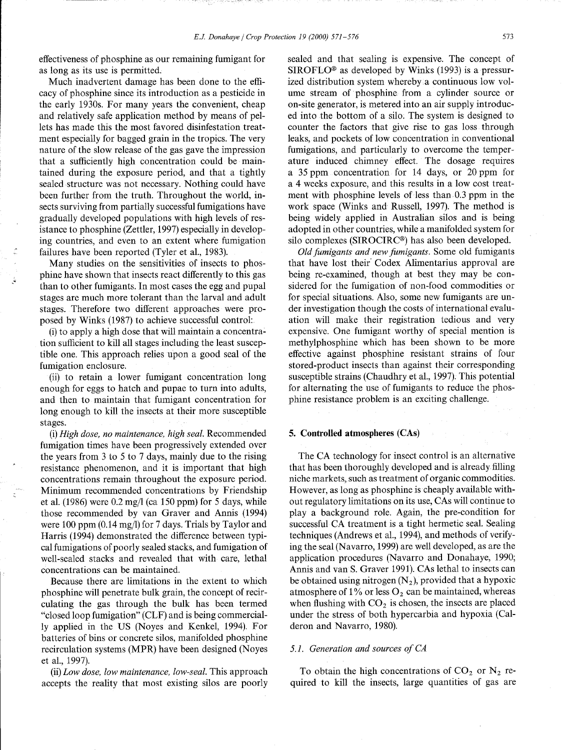effectiveness of phosphine as our remaining fumigant for as long as its use is permitted.

Much inadvertent damage has been done to the efficacy of phosphine since its introduction as a pesticide in the early 1930s. For many years the convenient, cheap and relatively safe application method by means of pellets has made this the most favored disinfestation treatment especially for bagged grain in the tropics. The very nature of the slow release of the gas gave the impression that a sufficiently high concentration could be maintained during the exposure period, and that a tightly sealed structure was not necessary. Nothing could have been further from the truth. Throughout the world, insects surviving from partially successful fumigations have gradually developed populations with high levels of resistance to phosphine (Zettler, 1997) especially in developing countries, and even to an extent where fumigation failures have been reported (Tyler et al., 1983).

Many studies on the sensitivities of insects to phosphine have shown that insects react differently to this gas than to other fumigants. In most cases the egg and pupal stages are much more tolerant than the larval and adult stages. Therefore two different approaches were proposed by Winks (1987) to achieve successful control:

(i) to apply a high dose that will maintain a concentration sufficient to kill all stages including the least susceptible one. This approach relies upon a good seal of the fumigation enclosure.

(ii) to retain a lower fumigant concentration long enough for eggs to hatch and pupae to turn into adults, and then to maintain that fumigant concentration for long enough to kill the insects at their more susceptible stages.

(i) *High dose, no maintenance, high seal.* Recommended fumigation times have been progressively extended over the years from 3 to 5 to 7 days, mainly due to the rising resistance phenomenon, and it is important that high concentrations remain throughout the exposure period. . Minimum recommended concentrations by Friendship et al. (1986) were 0.2 mg/l (ca 150 ppm) for 5 days, while those recommended by van Graver and Annis (1994) were 100 ppm (0.14 mg/l) for 7 days. Trials by Taylor and Harris (1994) demonstrated the difference between typical fumigations of poorly sealed stacks, and fumigation of well-sealed stacks and revealed that with care, lethal concentrations can be maintained.

Because there are limitations in the extent to which phosphine will penetrate bulk grain, the concept of recirculating the gas through the bulk has been termed "closed loop fumigation" (CLF) and is being commercially applied in the US (Noyes and Kenkel, 1994). For batteries of bins or concrete silos, manifolded phosphine recirculation systems (MPR) have been designed (Noyes et al., 1997).

(ii) *Low dose, low maintenance, low-seal.* This approach accepts the reality that most existing silos are poorly sealed and that sealing is expensive. The concept of  $SIROFLO<sup>®</sup>$  as developed by Winks (1993) is a pressurized distribution system whereby a continuous low volume stream of phosphine from a cylinder source or on-site generator, is metered into an air supply introduced into the bottom of a silo. The system is designed to counter the factors that give rise to gas loss through leaks, and pockets of low concentration in conventional fumigations, and particularly to overcome the temperature induced chimney effect. The dosage requires a 35 ppm concentration for 14 days, or 20 ppm for a 4 weeks exposure, and this results in a low cost treatment with phosphine levels of less than 0.3 ppm in the work space (Winks and Russell, 1997). The method is being widely applied in Australian silos and is being adopted in other countries, while a manifolded system for silo complexes (SIROCIRC<sup>®</sup>) has also been developed.

*Old fumigants and new fumigants.* Some old fumigants that have lost their' Codex Alimentarius approval are being re-examined, though at best they may be considered for the fumigation of non-food commodities or for special situations. Also, some new fumigants are under investigation though the costs of international evaluation will make their registration tedious and very expensive. One fumigant worthy of special mention is methylphosphine which has been shown to be more effective against phosphine resistant strains of four stored-product insects than against their corresponding susceptible strains (Chaudhry et al., 1997). This potential for alternating the use of fumigants to reduce the phosphine resistance problem is an exciting challenge.

# 5. Controlled atmospheres (CAs)

The CA technology for insect control is an alternative that has been thoroughly developed and is already filling niche markets, such as treatment of organic commodities. However, as long as phosphine is cheaply available without regulatory limitations on its use, CAs will continue to play a background role. Again, the pre-condition for successful CA treatment is a tight hermetic seal. Sealing techniques (Andrews et al., 1994), and methods of verifying the seal (Navarro, 1999) are well developed, as are the application procedures (Navarro and Donahaye, 1990; Annis and van S. Graver 1991). CAs lethal to insects can be obtained using nitrogen  $(N_2)$ , provided that a hypoxic atmosphere of 1% or less  $O_2$  can be maintained, whereas when flushing with  $CO<sub>2</sub>$  is chosen, the insects are placed under the stress of both hypercarbia and hypoxia (Calderon and Navarro, 1980).

#### *5.1. Generation and sources of CA*

To obtain the high concentrations of  $CO<sub>2</sub>$  or  $N<sub>2</sub>$  required to kill the insects, large quantities of gas are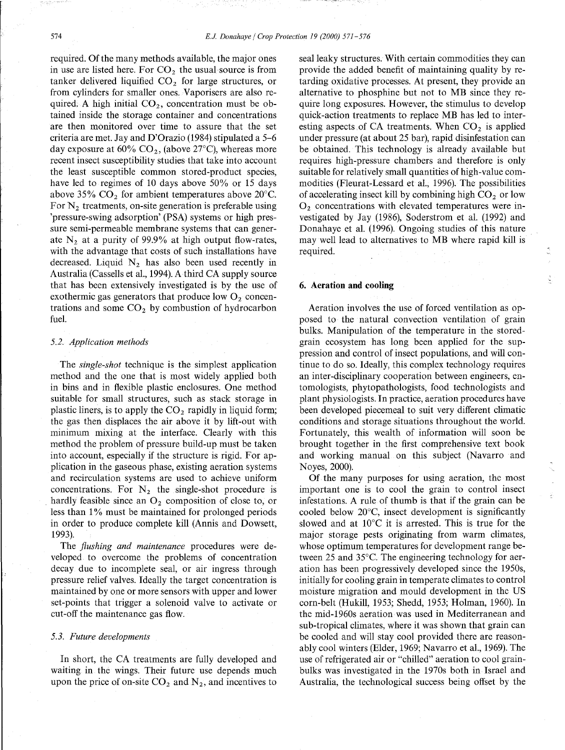required. Of the many methods available, the major ones in use are listed here. For  $CO<sub>2</sub>$  the usual source is from tanker delivered liquified  $CO<sub>2</sub>$  for large structures, or from cylinders for smaller ones. Vaporisers are also required. A high initial  $CO<sub>2</sub>$ , concentration must be obtained inside the storage container and concentrations are then monitored over time to assure that the set criteria are met. Jay and D'Orazio (1984) stipulated a 5-6 day exposure at 60%  $CO_2$ , (above 27°C), whereas more recent insect susceptibility studies that take into account the least susceptible common stored-product species, have led to regimes of 10 days above 50% or 15 days above 35%  $CO<sub>2</sub>$  for ambient temperatures above 20°C. For  $N_2$  treatments, on-site generation is preferable using 'pressure-swing adsorption' (PSA) systems or high pressure semi-permeable membrane systems that can generate  $N_2$  at a purity of 99.9% at high output flow-rates, with the advantage that costs of such installations have decreased. Liquid  $N_2$  has also been used recently in Australia (Cassells et al., 1994). A third CA supply source that has been extensively investigated is by the use of exothermic gas generators that produce low  $O_2$  concentrations and some  $CO<sub>2</sub>$  by combustion of hydrocarbon fuel.

### *5.2. Application methods*

The *single-shot* technique is the simplest application method and the one that is most widely applied both in bins and in flexible plastic enclosures. One method suitable for small structures, such as stack storage in plastic liners, is to apply the  $CO<sub>2</sub>$  rapidly in liquid form; the gas then displaces the air above it by lift-out with minimum mixing at the interface. Clearly with this method the problem of pressure build-up must be taken into account, especially if the structure is rigid. For application in the gaseous phase, existing aeration systems and recirculation systems are used to achieve uniform concentrations. For  $N_2$  the single-shot procedure is hardly feasible since an  $O_2$  composition of close to, or less than 1% must be maintained for prolonged periods in order to produce complete kill (Annis and Dowsett, 1993).

The *flushing and maintenance* procedures were developed to overcome the problems of concentration decay due to incomplete seal, or air ingress through pressure relief valves. Ideally the target concentration is maintained by one or more sensors with upper and lower set-points that trigger a solenoid valve to activate or cut-off the maintenance gas flow.

# *5.3. Future developments*

In short, the CA treatments are fully developed and waiting in the wings. Their future use depends much upon the price of on-site  $CO<sub>2</sub>$  and N<sub>2</sub>, and incentives to

seal leaky structures. With certain commodities they can provide the added benefit of maintaining quality by retarding oxidative processes. At present, they provide an alternative to phosphine but not to MB since they require long exposures. However, the stimulus to develop quick-action treatments to replace MB has led to interesting aspects of CA treatments. When  $CO<sub>2</sub>$  is applied under pressure (at about 25 bar), rapid disinfestation can be obtained. This technology is already available but requires high-pressure chambers and therefore is only suitable for relatively small quantities of high-value commodities (Fleurat-Lessard et al., 1996). The possibilities of accelerating insect kill by combining high  $CO<sub>2</sub>$  or low  $O<sub>2</sub>$  concentrations with elevated temperatures were investigated by Jay (1986), Soderstrom et al. (1992) and Donahaye et al. (1996). Ongoing studies of this nature may well lead to alternatives to MB where rapid kill is required.

#### **6. Aeration and cooling**

Aeration involves the use of forced ventilation as opposed to the natural convection ventilation of grain bulks. Manipulation of the temperature in the storedgrain ecosystem has long been applied for the suppression and control of insect populations, and will continue to do so. Ideally, this complex technology requires an inter-disciplinary cooperation between engineers, entomologists, phytopathologists, food technologists and plant physiologists. In practice, aeration procedures have been developed piecemeal to suit very different climatic conditions and storage situations throughout the world. Fortunately, this wealth of information will soon be brought together in the first comprehensive text book and working manual on this subject (Navarro and Noyes, 2000).

Of the many purposes for using aeration, the most important one is to cool the grain to control insect infestations. A rule of thumb is that if the grain can be cooled below 20°C, insect development is significantly slowed and at 10°C it is arrested. This is true for the major storage pests originating from warm climates, whose optimum temperatures for development range between 25 and 35°C. The engineering technology for aeration has been progressively developed since the 1950s, initially for cooling grain in temperate climates to control moisture migration and mould development in the US corn-belt (Hukill, 1953; Shedd, 1953; Holman, 1960). In the mid-1960s aeration was used in Mediterranean and sub-tropical climates, where it was shown that grain can be cooled and will stay cool provided there are reasonably cool winters (Elder, 1969; Navarro et al., 1969). The use of refrigerated air or "chilled" aeration to cool grainbulks was investigated in the 1970s both in Israel and Australia, the technological success being offset by the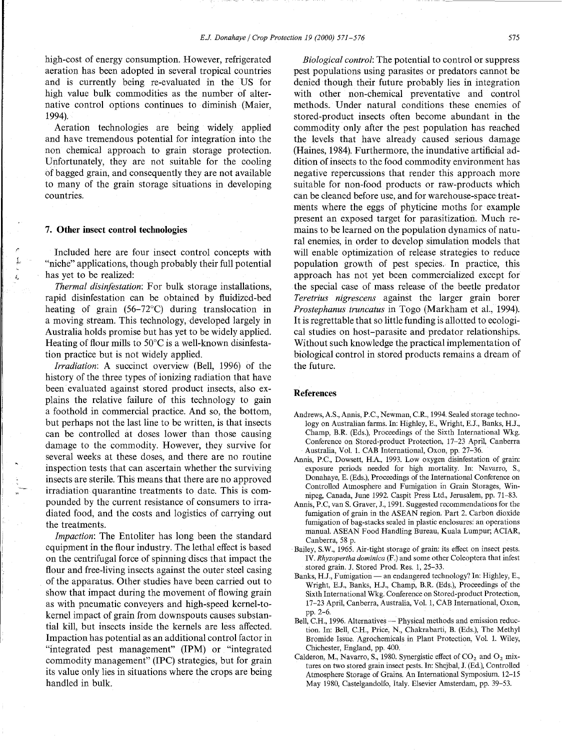high-cost of energy consumption. However, refrigerated aeration has been adopted in several tropical countries and is currently being re-evaluated in the US for high value bulk commodities as the number of alternative control options continues to diminish (Maier, 1994).

Aeration technologies are being widely applied and have tremendous potential for integration into the non chemical approach to grain storage protection. Unfortunately, they are not suitable for the cooling of bagged grain, and consequently they are not available to many of the grain storage situations in developing countries.

### **7. Other insect control technologies**

Included here are four insect control concepts with "niche" applications, though probably their full potential has yet to be realized:

*Thermal disinfestation:* For bulk storage installations, rapid disinfestation can be obtained by fluidized-bed heating of grain (56-72°C) during translocation in a moving stream. This technology, developed largely in Australia holds promise but has yet to be widely applied. Heating of flour mills to 50°C is a well-known disinfestation practice but is not widely applied.

*Irradiation:* A succinct overview (Bell, 1996) of the history of the three types of ionizing radiation that have been evaluated against stored product insects, also explains the relative failure of this technology to gain a foothold in commercial practice. And so, the bottom, but perhaps not the last line to be written, is that insects can be controlled at doses lower than those causing damage to the commodity. However, they survive for several weeks at these doses, and there are no routine inspection tests that can ascertain whether the surviving insects are sterile. This means that there are no approved irradiation quarantine treatments to date. This is compounded by the current resistance of consumers to irradiated food, and the costs and logistics of carrying out the treatments.

*Impaction:* The Entoliter has long been the standard equipment in the flour industry. The lethal effect is based on the centrifugal force of spinning discs that impact the flour and free-living insects against the outer steel casing of the apparatus. Other studies have been carried out to show that impact during the movement of flowing grain as with pneumatic conveyers and high-speed kernel-tokernel impact of grain from downspouts causes substantial kill, but insects inside the kernels are less affected. Impaction has potential as an additional control factor in "integrated pest management" (IPM) or "integrated commodity management" (IPC) strategies, but for grain its value only lies in situations where the crops are being handled in bulk.

*Biological control:* The potential to control or suppress pest populations using parasites or predators cannot be denied though their future probably lies in integration with other non-chemical preventative and control methods. Under natural conditions these enemies of stored-product insects often become abundant in the commodity only after the pest population has reached the levels that have already caused serious damage (Haines, 1984). Furthermore, the inundative artificial addition of insects to the food commodity environment has negative repercussions that render this approach more suitable for non-food products or raw-products which can be cleaned before use, and for warehouse-space treatments where the eggs of phyticine moths for example present an exposed target for parasitization. Much remains to be learned on the population dynamics of natural enemies, in order to develop simulation models that will enable optimization of release strategies to reduce population growth of pest species. In practice, this approach has not yet been commercialized except for the special case of mass release of the beetle predator *Teretrius nigrescens* against the larger grain borer *Prostephanus truncatus* in Togo (Markham et al., 1994). It is regrettable that so little funding is allotted to ecological studies on host-parasite and predator relationships. Without such knowledge the practical implementation of biological control in stored products remains a dream of the future.

# **References**

- Andrews, A.S., Annis, P.C., Newman, C.R., 1994. Sealed storage technology on Australian farms. In: Highley, E., Wright, E.J., Banks, H.J., Champ, B.R. (Eds.), Proceedings of the Sixth International Wkg. Conference on Stored-product Protection, 17-23 April, Canberra Australia, Vol. 1. CAB International, Oxon, pp. 27-36.
- Annis, P.C., Dowsett, H.A., 1993. Low oxygen disinfestation of grain: exposure periods needed for high mortality. In: Navarro, S., Donahaye, E. (Eds.), Proceedings of the International Conference on Controlled Atmosphere and Fumigation in Grain Storages, Winnipeg, Canada, June 1992. Caspit Press Ltd., Jerusalem, pp. 71-83.
- Annis, P.C, van S. Graver, J., 1991. Suggested recommendations for the fumigation of grain in the ASEAN region. Part 2. Carbon dioxide fumigation of bag-stacks sealed in plastic enclosures: an operations manual. ASEAN Food Handling Bureau, Kuala Lumpur; ACIAR, Canberra, 58 p.
- Bailey, S.W., 1965. Air-tight storage of grain: its effect on insect pests. IV. *Rhyzopertha dominica* (F.) and some other Coleoptera that infest stored grain. J. Stored Prod. Res. 1, 25-33.
- Banks, H.J., Fumigation an endangered technology? In: Highley, E., Wright, E.J., Banks, H.J., Champ, B.R. (Eds.), Proceedings of the Sixth International Wkg. Conference on Stored-product Protection, 17-23 April, Canberra, Australia, Vol. 1, CAB International, Oxon, pp. 2-6.
- Bell, C.H., 1996. Alternatives Physical methods and emission reduction. In: Bell, C.H., Price, N., Chakrabarti, B. (Eds.), The Methyl Bromide Issue. Agrochemicals in Plant Protection, Vol. 1. Wiley, Chichester, England, pp. 400.
- Calderon, M., Navarro, S., 1980. Synergistic effect of  $CO_2$  and  $O_2$  mixtures on two stored grain insect pests. In: Shejbal, J. (Ed.), Controlled Atmosphere Storage of Grains. An International Symposium. 12-15 May 1980, Castelgandolfo, Italy. Elsevier Amsterdam, pp. 39-53.